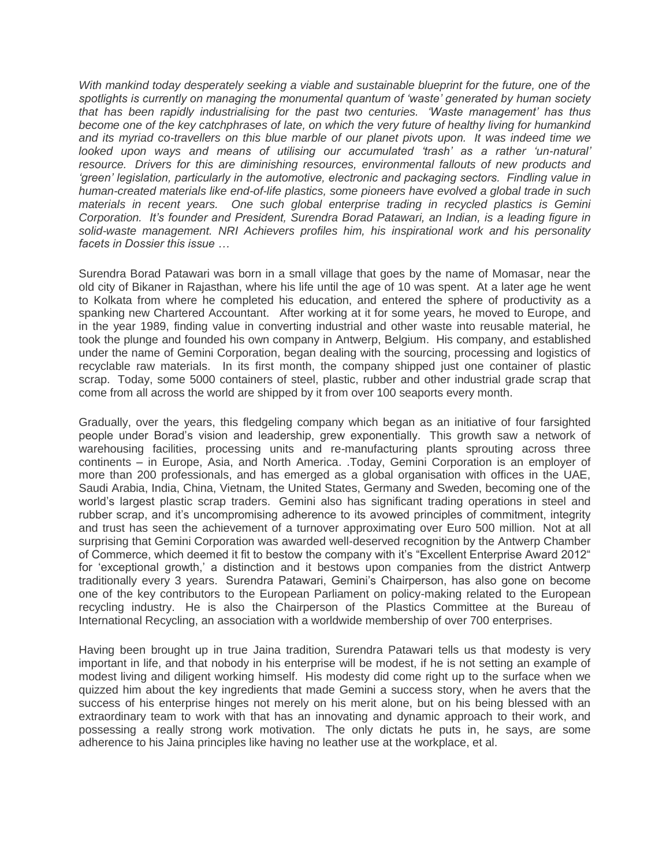*With mankind today desperately seeking a viable and sustainable blueprint for the future, one of the spotlights is currently on managing the monumental quantum of 'waste' generated by human society that has been rapidly industrialising for the past two centuries. 'Waste management' has thus become one of the key catchphrases of late, on which the very future of healthy living for humankind and its myriad co-travellers on this blue marble of our planet pivots upon. It was indeed time we looked upon ways and means of utilising our accumulated 'trash' as a rather 'un-natural' resource. Drivers for this are diminishing resources, environmental fallouts of new products and 'green' legislation, particularly in the automotive, electronic and packaging sectors. Findling value in human-created materials like end-of-life plastics, some pioneers have evolved a global trade in such materials in recent years. One such global enterprise trading in recycled plastics is Gemini Corporation. It's founder and President, Surendra Borad Patawari, an Indian, is a leading figure in solid-waste management. NRI Achievers profiles him, his inspirational work and his personality facets in Dossier this issue …*

Surendra Borad Patawari was born in a small village that goes by the name of Momasar, near the old city of Bikaner in Rajasthan, where his life until the age of 10 was spent. At a later age he went to Kolkata from where he completed his education, and entered the sphere of productivity as a spanking new Chartered Accountant. After working at it for some years, he moved to Europe, and in the year 1989, finding value in converting industrial and other waste into reusable material, he took the plunge and founded his own company in Antwerp, Belgium. His company, and established under the name of Gemini Corporation, began dealing with the sourcing, processing and logistics of recyclable raw materials. In its first month, the company shipped just one container of plastic scrap. Today, some 5000 containers of steel, plastic, rubber and other industrial grade scrap that come from all across the world are shipped by it from over 100 seaports every month.

Gradually, over the years, this fledgeling company which began as an initiative of four farsighted people under Borad's vision and leadership, grew exponentially. This growth saw a network of warehousing facilities, processing units and re-manufacturing plants sprouting across three continents – in Europe, Asia, and North America. .Today, Gemini Corporation is an employer of more than 200 professionals, and has emerged as a global organisation with offices in the UAE, Saudi Arabia, India, China, Vietnam, the United States, Germany and Sweden, becoming one of the world's largest plastic scrap traders. Gemini also has significant trading operations in steel and rubber scrap, and it's uncompromising adherence to its avowed principles of commitment, integrity and trust has seen the achievement of a turnover approximating over Euro 500 million. Not at all surprising that Gemini Corporation was awarded well-deserved recognition by the Antwerp Chamber of Commerce, which deemed it fit to bestow the company with it's "Excellent Enterprise Award 2012" for 'exceptional growth,' a distinction and it bestows upon companies from the district Antwerp traditionally every 3 years. Surendra Patawari, Gemini's Chairperson, has also gone on become one of the key contributors to the European Parliament on policy-making related to the European recycling industry. He is also the Chairperson of the Plastics Committee at the Bureau of International Recycling, an association with a worldwide membership of over 700 enterprises.

Having been brought up in true Jaina tradition, Surendra Patawari tells us that modesty is very important in life, and that nobody in his enterprise will be modest, if he is not setting an example of modest living and diligent working himself. His modesty did come right up to the surface when we quizzed him about the key ingredients that made Gemini a success story, when he avers that the success of his enterprise hinges not merely on his merit alone, but on his being blessed with an extraordinary team to work with that has an innovating and dynamic approach to their work, and possessing a really strong work motivation. The only dictats he puts in, he says, are some adherence to his Jaina principles like having no leather use at the workplace, et al.